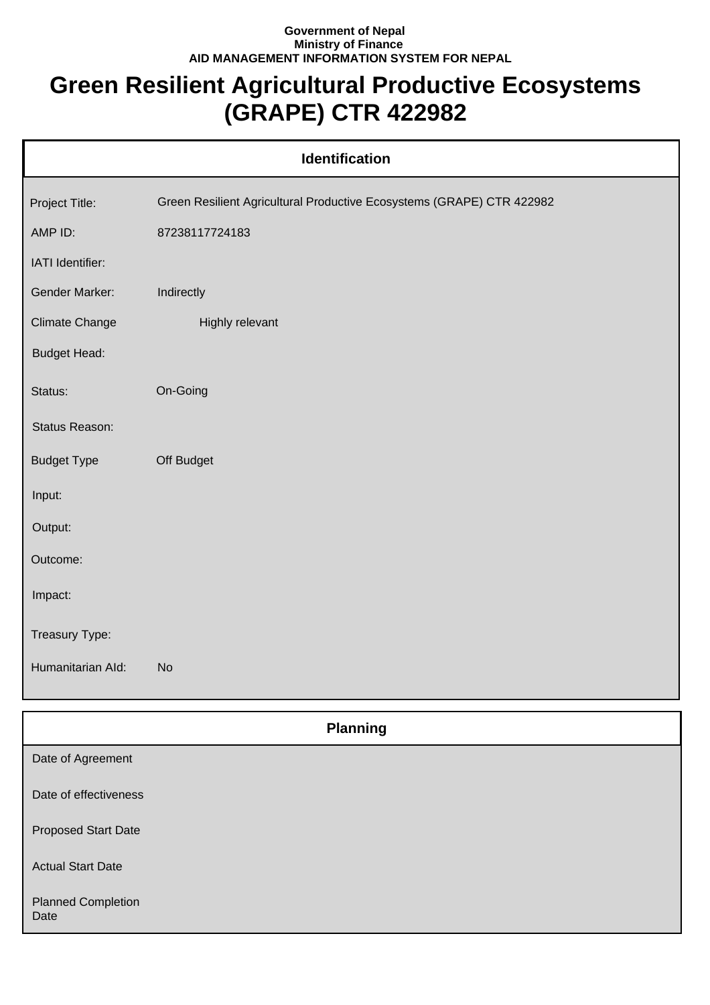## **Government of Nepal Ministry of Finance AID MANAGEMENT INFORMATION SYSTEM FOR NEPAL**

## **Green Resilient Agricultural Productive Ecosystems (GRAPE) CTR 422982**

|                       | <b>Identification</b>                                                 |
|-----------------------|-----------------------------------------------------------------------|
| Project Title:        | Green Resilient Agricultural Productive Ecosystems (GRAPE) CTR 422982 |
| AMP ID:               | 87238117724183                                                        |
| IATI Identifier:      |                                                                       |
| Gender Marker:        | Indirectly                                                            |
| <b>Climate Change</b> | Highly relevant                                                       |
| <b>Budget Head:</b>   |                                                                       |
| Status:               | On-Going                                                              |
| Status Reason:        |                                                                       |
| <b>Budget Type</b>    | Off Budget                                                            |
| Input:                |                                                                       |
| Output:               |                                                                       |
| Outcome:              |                                                                       |
| Impact:               |                                                                       |
| Treasury Type:        |                                                                       |
| Humanitarian Ald:     | <b>No</b>                                                             |
|                       |                                                                       |

| <b>Planning</b>                   |
|-----------------------------------|
| Date of Agreement                 |
| Date of effectiveness             |
| <b>Proposed Start Date</b>        |
| <b>Actual Start Date</b>          |
| <b>Planned Completion</b><br>Date |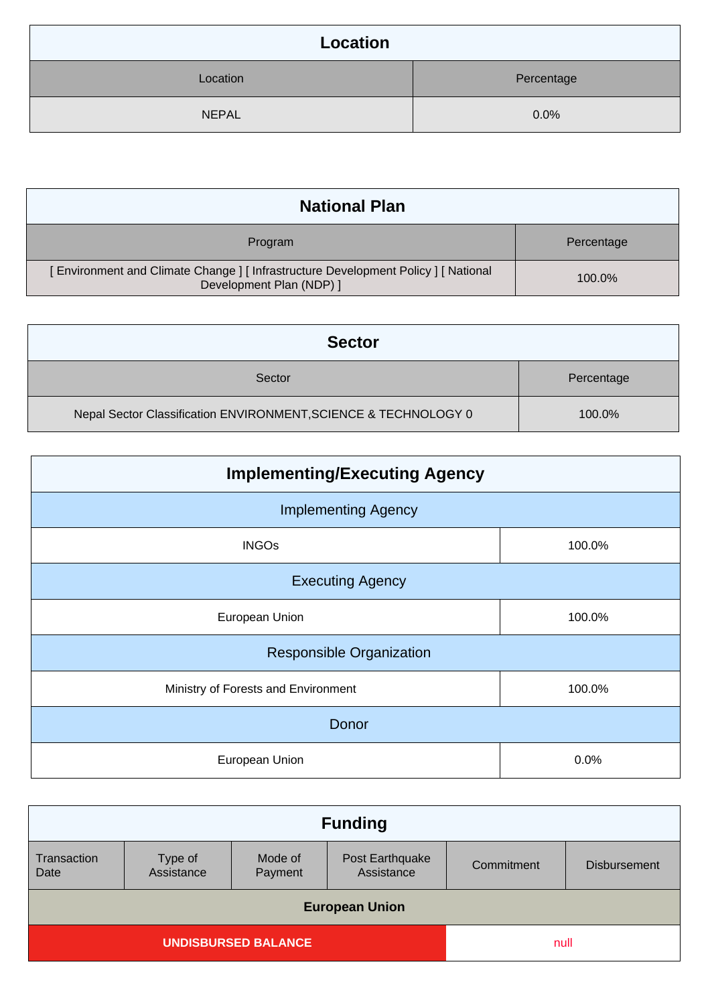| Location     |            |
|--------------|------------|
| Location     | Percentage |
| <b>NEPAL</b> | 0.0%       |

| <b>National Plan</b>                                                                                          |            |
|---------------------------------------------------------------------------------------------------------------|------------|
| Program                                                                                                       | Percentage |
| Environment and Climate Change ] [ Infrastructure Development Policy ] [ National<br>Development Plan (NDP) ] | 100.0%     |

| <b>Sector</b>                                                   |            |
|-----------------------------------------------------------------|------------|
| Sector                                                          | Percentage |
| Nepal Sector Classification ENVIRONMENT, SCIENCE & TECHNOLOGY 0 | 100.0%     |

| <b>Implementing/Executing Agency</b> |        |
|--------------------------------------|--------|
| <b>Implementing Agency</b>           |        |
| <b>INGOs</b>                         | 100.0% |
| <b>Executing Agency</b>              |        |
| European Union                       | 100.0% |
| <b>Responsible Organization</b>      |        |
| Ministry of Forests and Environment  | 100.0% |
| Donor                                |        |
| European Union                       | 0.0%   |

| <b>Funding</b>             |                       |                    |                               |            |                     |
|----------------------------|-----------------------|--------------------|-------------------------------|------------|---------------------|
| Transaction<br>Date        | Type of<br>Assistance | Mode of<br>Payment | Post Earthquake<br>Assistance | Commitment | <b>Disbursement</b> |
| <b>European Union</b>      |                       |                    |                               |            |                     |
| <b>UNDISBURSED BALANCE</b> |                       |                    | null                          |            |                     |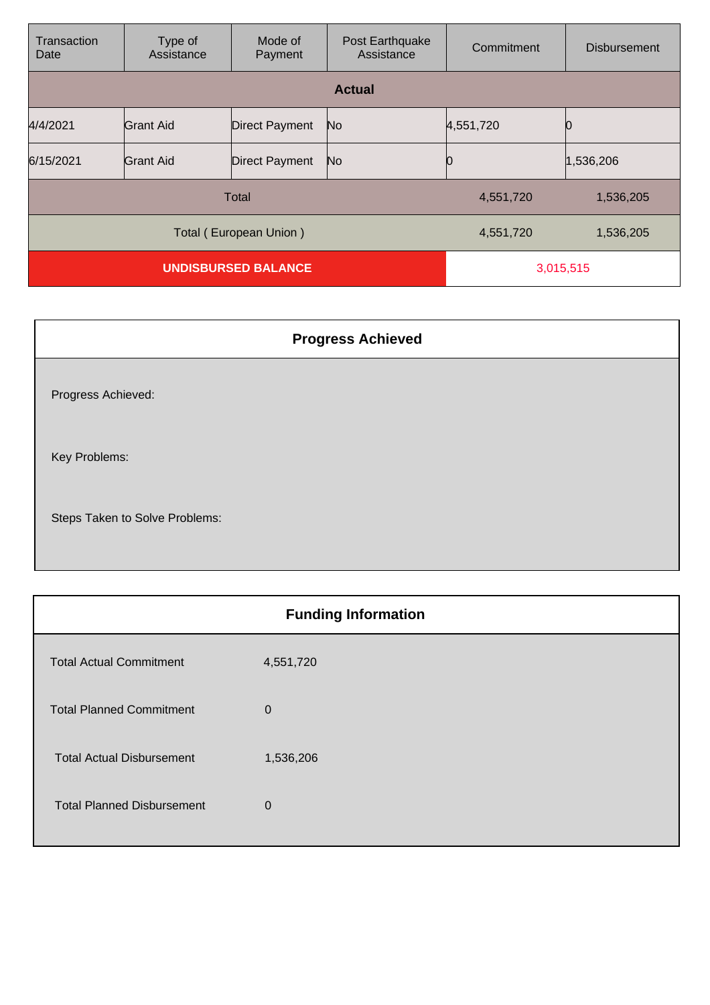| Transaction<br>Date        | Type of<br>Assistance | Mode of<br>Payment    | Post Earthquake<br>Assistance | Commitment | <b>Disbursement</b> |
|----------------------------|-----------------------|-----------------------|-------------------------------|------------|---------------------|
|                            |                       |                       | <b>Actual</b>                 |            |                     |
| 4/4/2021                   | <b>Grant Aid</b>      | <b>Direct Payment</b> | No.                           | 4,551,720  |                     |
| 6/15/2021                  | <b>Grant Aid</b>      | <b>Direct Payment</b> | No.                           |            | 1,536,206           |
| <b>Total</b>               |                       |                       |                               | 4,551,720  | 1,536,205           |
| Total (European Union)     |                       |                       | 4,551,720                     | 1,536,205  |                     |
| <b>UNDISBURSED BALANCE</b> |                       |                       | 3,015,515                     |            |                     |

|                                | <b>Progress Achieved</b> |
|--------------------------------|--------------------------|
| Progress Achieved:             |                          |
| Key Problems:                  |                          |
| Steps Taken to Solve Problems: |                          |

| <b>Funding Information</b>        |             |  |
|-----------------------------------|-------------|--|
| <b>Total Actual Commitment</b>    | 4,551,720   |  |
| <b>Total Planned Commitment</b>   | $\mathbf 0$ |  |
| <b>Total Actual Disbursement</b>  | 1,536,206   |  |
| <b>Total Planned Disbursement</b> | $\mathbf 0$ |  |